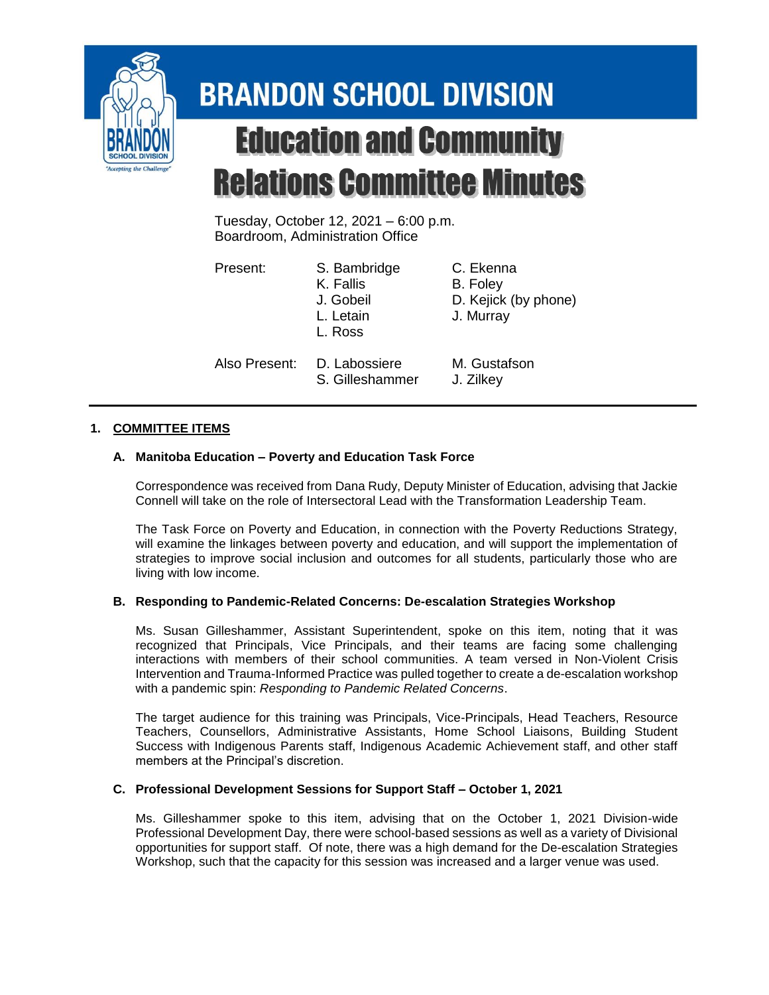

# **BRANDON SCHOOL DIVISION Education and Community Relations Committee Minutes**

Tuesday, October 12, 2021 – 6:00 p.m. Boardroom, Administration Office

| Present:      | S. Bambridge<br>K. Fallis<br>J. Gobeil<br>L. Letain<br>L. Ross | C. Ekenna<br>B. Foley<br>D. Kejick (by phone)<br>J. Murray |
|---------------|----------------------------------------------------------------|------------------------------------------------------------|
| Also Present: | D. Labossiere<br>S. Gilleshammer                               | M. Gustafson<br>J. Zilkey                                  |

# **1. COMMITTEE ITEMS**

## **A. Manitoba Education – Poverty and Education Task Force**

Correspondence was received from Dana Rudy, Deputy Minister of Education, advising that Jackie Connell will take on the role of Intersectoral Lead with the Transformation Leadership Team.

The Task Force on Poverty and Education, in connection with the Poverty Reductions Strategy, will examine the linkages between poverty and education, and will support the implementation of strategies to improve social inclusion and outcomes for all students, particularly those who are living with low income.

#### **B. Responding to Pandemic-Related Concerns: De-escalation Strategies Workshop**

Ms. Susan Gilleshammer, Assistant Superintendent, spoke on this item, noting that it was recognized that Principals, Vice Principals, and their teams are facing some challenging interactions with members of their school communities. A team versed in Non-Violent Crisis Intervention and Trauma-Informed Practice was pulled together to create a de-escalation workshop with a pandemic spin: *Responding to Pandemic Related Concerns*.

The target audience for this training was Principals, Vice-Principals, Head Teachers, Resource Teachers, Counsellors, Administrative Assistants, Home School Liaisons, Building Student Success with Indigenous Parents staff, Indigenous Academic Achievement staff, and other staff members at the Principal's discretion.

#### **C. Professional Development Sessions for Support Staff – October 1, 2021**

Ms. Gilleshammer spoke to this item, advising that on the October 1, 2021 Division-wide Professional Development Day, there were school-based sessions as well as a variety of Divisional opportunities for support staff. Of note, there was a high demand for the De-escalation Strategies Workshop, such that the capacity for this session was increased and a larger venue was used.